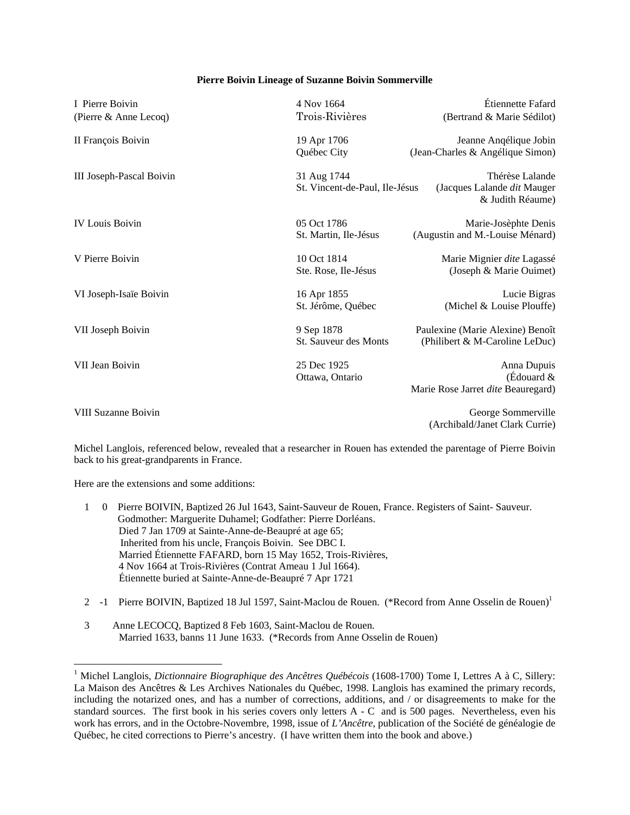## **Pierre Boivin Lineage of Suzanne Boivin Sommerville**

| I Pierre Boivin            | 4 Nov 1664                     | Étiennette Fafard                               |
|----------------------------|--------------------------------|-------------------------------------------------|
| (Pierre & Anne Lecoq)      | Trois-Rivières                 | (Bertrand & Marie Sédilot)                      |
| II François Boivin         | 19 Apr 1706                    | Jeanne Anqélique Jobin                          |
|                            | Québec City                    | (Jean-Charles & Angélique Simon)                |
| III Joseph-Pascal Boivin   | 31 Aug 1744                    | Thérèse Lalande                                 |
|                            | St. Vincent-de-Paul, Ile-Jésus | (Jacques Lalande dit Mauger<br>& Judith Réaume) |
| <b>IV Louis Boivin</b>     | 05 Oct 1786                    | Marie-Josèphte Denis                            |
|                            | St. Martin, Ile-Jésus          | (Augustin and M.-Louise Ménard)                 |
| V Pierre Boivin            | 10 Oct 1814                    | Marie Mignier dite Lagassé                      |
|                            | Ste. Rose, Ile-Jésus           | (Joseph & Marie Ouimet)                         |
| VI Joseph-Isaïe Boivin     | 16 Apr 1855                    | Lucie Bigras                                    |
|                            | St. Jérôme, Québec             | (Michel & Louise Plouffe)                       |
| VII Joseph Boivin          | 9 Sep 1878                     | Paulexine (Marie Alexine) Benoît                |
|                            | St. Sauveur des Monts          | (Philibert & M-Caroline LeDuc)                  |
| VII Jean Boivin            | 25 Dec 1925                    | Anna Dupuis                                     |
|                            | Ottawa, Ontario                | (Édouard $&$                                    |
|                            |                                | Marie Rose Jarret dite Beauregard)              |
| <b>VIII Suzanne Boivin</b> |                                | George Sommerville                              |
|                            |                                | (Archibald/Janet Clark Currie)                  |

Michel Langlois, referenced below, revealed that a researcher in Rouen has extended the parentage of Pierre Boivin back to his great-grandparents in France.

Here are the extensions and some additions:

 $\overline{a}$ 

|  | Pierre BOIVIN, Baptized 26 Jul 1643, Saint-Sauveur de Rouen, France. Registers of Saint-Sauveur. |
|--|--------------------------------------------------------------------------------------------------|
|  | Godmother: Marguerite Duhamel; Godfather: Pierre Dorléans.                                       |
|  | Died 7 Jan 1709 at Sainte-Anne-de-Beaupré at age 65;                                             |
|  | Inherited from his uncle, François Boivin. See DBC I.                                            |
|  | Married Étiennette FAFARD, born 15 May 1652, Trois-Rivières,                                     |
|  | 4 Nov 1664 at Trois-Rivières (Contrat Ameau 1 Jul 1664).                                         |
|  | Étiennette buried at Sainte-Anne-de-Beaupré 7 Apr 1721                                           |

- 2 -1 Pierre BOIVIN, Baptized 18 Jul 1597, Saint-Maclou de Rouen. (\*Record from Anne Osselin de Rouen)<sup>1</sup>
- 3 Anne LECOCQ, Baptized 8 Feb 1603, Saint-Maclou de Rouen. Married 1633, banns 11 June 1633. (\*Records from Anne Osselin de Rouen)

<sup>&</sup>lt;sup>1</sup> Michel Langlois, *Dictionnaire Biographique des Ancêtres Québécois* (1608-1700) Tome I, Lettres A à C, Sillery: La Maison des Ancêtres & Les Archives Nationales du Québec, 1998. Langlois has examined the primary records, including the notarized ones, and has a number of corrections, additions, and / or disagreements to make for the standard sources. The first book in his series covers only letters A - C and is 500 pages. Nevertheless, even his work has errors, and in the Octobre-Novembre, 1998, issue of *L'Ancêtre*, publication of the Société de généalogie de Québec, he cited corrections to Pierre's ancestry. (I have written them into the book and above.)